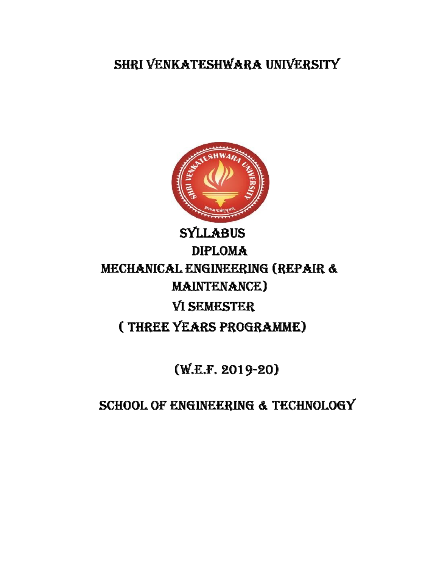SHRI VENKATESHWARA UNIVERSITY



# **SYLLABUS** DIplomA mEcHANIcAl ENgINEERINg (REpAIR & mAINTENANcE) VI SEmESTER ( THREE YEARS pRogRAmmE)

(W.E.f. 2019-20)

ScHool of ENgINEERINg & TEcHNologY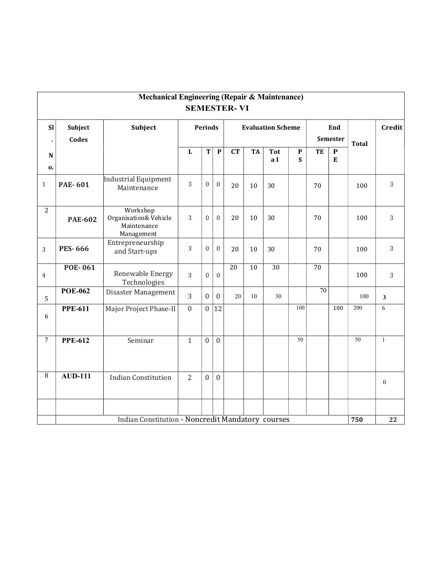| <b>Mechanical Engineering (Repair &amp; Maintenance)</b><br><b>SEMESTER-VI</b> |                                                                       |                                                                |                |                  |                  |                          |           |                   |                                          |          |                          |               |                |
|--------------------------------------------------------------------------------|-----------------------------------------------------------------------|----------------------------------------------------------------|----------------|------------------|------------------|--------------------------|-----------|-------------------|------------------------------------------|----------|--------------------------|---------------|----------------|
|                                                                                |                                                                       |                                                                |                |                  |                  |                          |           |                   |                                          |          |                          |               |                |
| <b>SI</b>                                                                      | Subject                                                               | Subject                                                        |                | <b>Periods</b>   |                  | <b>Evaluation Scheme</b> |           |                   | End                                      |          |                          | <b>Credit</b> |                |
| ٠                                                                              | Codes                                                                 |                                                                |                |                  |                  |                          |           |                   |                                          | Semester |                          | <b>Total</b>  |                |
| N                                                                              |                                                                       |                                                                | L              | T                | $\mathbf P$      | CT                       | <b>TA</b> | <b>Tot</b><br>a l | $\boldsymbol{\mathsf{P}}$<br>$\mathbf S$ | TE       | $\mathbf P$<br>${\bf E}$ |               |                |
| 0.                                                                             |                                                                       |                                                                |                |                  |                  |                          |           |                   |                                          |          |                          |               |                |
| $\mathbf{1}$                                                                   | <b>PAE-601</b>                                                        | Industrial Equipment<br>Maintenance                            | $\overline{3}$ | $\boldsymbol{0}$ | $\overline{0}$   | 20                       | 10        | $30\,$            |                                          | 70       |                          | 100           | $\mathfrak{Z}$ |
| 2                                                                              | <b>PAE-602</b>                                                        | Workshop<br>Organisation& Vehicle<br>Maintenance<br>Management | 3              | $\boldsymbol{0}$ | $\mathbf{0}$     | 20                       | 10        | 30                |                                          | 70       |                          | 100           | 3              |
| $\mathfrak{Z}$                                                                 | <b>PES-666</b>                                                        | Entrepreneurship<br>and Start-ups                              | 3              | $\boldsymbol{0}$ | $\boldsymbol{0}$ | 20                       | 10        | 30                |                                          | 70       |                          | 100           | 3              |
| $\overline{4}$                                                                 | <b>POE-061</b>                                                        | Renewable Energy<br>Technologies                               | 3              | $\boldsymbol{0}$ | $\boldsymbol{0}$ | 20                       | 10        | $\overline{30}$   |                                          | 70       |                          | 100           | 3              |
| 5                                                                              | <b>POE-062</b>                                                        | Disaster Management                                            | $\overline{3}$ | $\boldsymbol{0}$ | $\mathbf{0}$     | 20                       | 10        | 30                |                                          | 70       |                          | 100           | $\mathbf{3}$   |
| 6                                                                              | <b>PPE-611</b>                                                        | Major Project Phase-II                                         | $\overline{0}$ | $\overline{0}$   | 12               |                          |           |                   | 100                                      |          | 100                      | 200           | 6              |
| 7                                                                              | <b>PPE-612</b>                                                        | Seminar                                                        | $\mathbf{1}$   | $\mathbf{0}$     | $\mathbf{0}$     |                          |           |                   | 50                                       |          |                          | 50            | $\mathbf{1}$   |
| 8                                                                              | <b>AUD-111</b>                                                        | <b>Indian Constitution</b>                                     | $\overline{2}$ | $\overline{0}$   | $\mathbf{0}$     |                          |           |                   |                                          |          |                          |               | $\mathbf{0}$   |
|                                                                                |                                                                       |                                                                |                |                  |                  |                          |           |                   |                                          |          |                          |               |                |
|                                                                                | <b>Indian Constitution - Noncredit Mandatory courses</b><br>750<br>22 |                                                                |                |                  |                  |                          |           |                   |                                          |          |                          |               |                |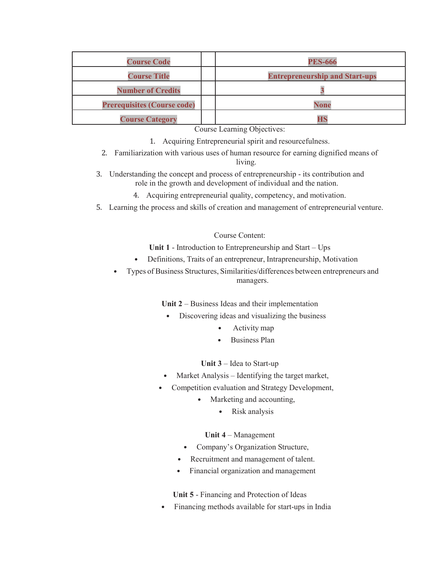| <b>Course Code</b>                 | <b>PES-666</b>                        |
|------------------------------------|---------------------------------------|
| <b>Course Title</b>                | <b>Entrepreneurship and Start-ups</b> |
| <b>Number of Credits</b>           |                                       |
| <b>Prerequisites (Course code)</b> | <b>None</b>                           |
| <b>Course Category</b>             | <b>HS</b>                             |

Course Learning Objectives:

1. Acquiring Entrepreneurial spirit and resourcefulness.

- 2. Familiarization with various uses of human resource for earning dignified means of living.
- 3. Understanding the concept and process of entrepreneurship its contribution and role in the growth and development of individual and the nation.
	- 4. Acquiring entrepreneurial quality, competency, and motivation.
- 5. Learning the process and skills of creation and management of entrepreneurial venture.

# Course Content:

- Unit 1 Introduction to Entrepreneurship and Start Ups
- Definitions, Traits of an entrepreneur, Intrapreneurship, Motivation
- Types of Business Structures, Similarities/differences between entrepreneurs and managers.

Unit 2 – Business Ideas and their implementation

- Discovering ideas and visualizing the business
	- Activity map
	- Business Plan

Unit 3 – Idea to Start-up

- Market Analysis Identifying the target market,
- Competition evaluation and Strategy Development,
	- Marketing and accounting,
		- Risk analysis

# Unit 4 – Management

- Company's Organization Structure,
- Recruitment and management of talent.
- Financial organization and management

Unit 5 - Financing and Protection of Ideas

• Financing methods available for start-ups in India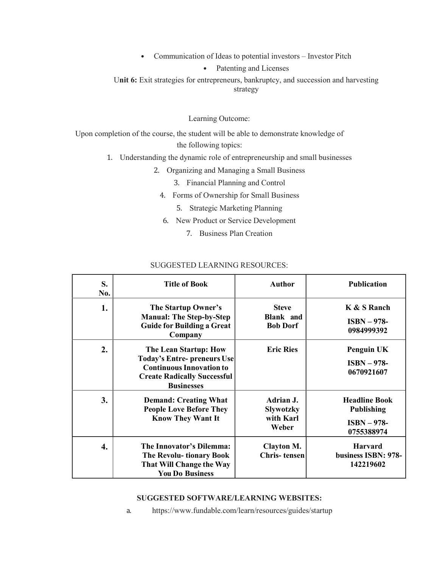• Communication of Ideas to potential investors – Investor Pitch

• Patenting and Licenses

Unit 6: Exit strategies for entrepreneurs, bankruptcy, and succession and harvesting strategy

Learning Outcome:

Upon completion of the course, the student will be able to demonstrate knowledge of the following topics:

1. Understanding the dynamic role of entrepreneurship and small businesses

- - 2. Organizing and Managing a Small Business
		- 3. Financial Planning and Control
		- 4. Forms of Ownership for Small Business
			- 5. Strategic Marketing Planning
		- 6. New Product or Service Development
			- 7. Business Plan Creation

| S.<br>No.        | <b>Title of Book</b>                                                                                                                                            | <b>Author</b>                                       | <b>Publication</b>                                                       |
|------------------|-----------------------------------------------------------------------------------------------------------------------------------------------------------------|-----------------------------------------------------|--------------------------------------------------------------------------|
| 1.               | The Startup Owner's<br><b>Manual: The Step-by-Step</b><br><b>Guide for Building a Great</b><br>Company                                                          | <b>Steve</b><br>Blank and<br><b>Bob Dorf</b>        | K & S Ranch<br>$ISBN - 978-$<br>0984999392                               |
| 2.               | <b>The Lean Startup: How</b><br><b>Today's Entre-preneurs Use</b><br><b>Continuous Innovation to</b><br><b>Create Radically Successful</b><br><b>Businesses</b> | <b>Eric Ries</b>                                    | Penguin UK<br>$ISBN - 978-$<br>0670921607                                |
| 3.               | <b>Demand: Creating What</b><br><b>People Love Before They</b><br><b>Know They Want It</b>                                                                      | Adrian J.<br><b>Slywotzky</b><br>with Karl<br>Weber | <b>Headline Book</b><br><b>Publishing</b><br>$ISBN - 978-$<br>0755388974 |
| $\overline{4}$ . | The Innovator's Dilemma:<br>The Revolu- tionary Book<br>That Will Change the Way<br><b>You Do Business</b>                                                      | Clayton M.<br><b>Chris-tensen</b>                   | <b>Harvard</b><br>business ISBN: 978-<br>142219602                       |

# SUGGESTED LEARNING RESOURCES:

# SUGGESTED SOFTWARE/LEARNING WEBSITES:

a. https://www.fundable.com/learn/resources/guides/startup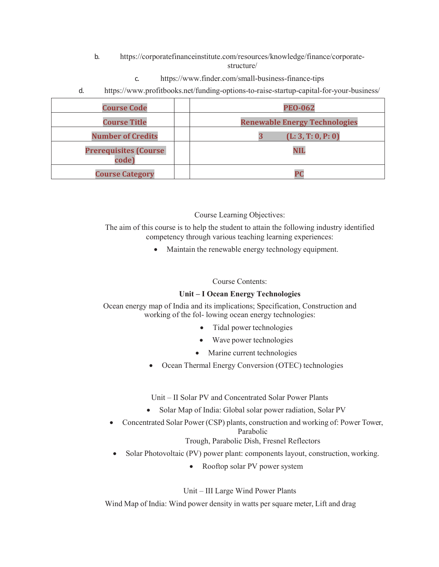- b. https://corporatefinanceinstitute.com/resources/knowledge/finance/corporatestructure/
	- c. https://www.finder.com/small-business-finance-tips
- d. https://www.profitbooks.net/funding-options-to-raise-startup-capital-for-your-business/

| <b>Course Code</b>                     | <b>PEO-062</b>                       |
|----------------------------------------|--------------------------------------|
| <b>Course Title</b>                    | <b>Renewable Energy Technologies</b> |
| <b>Number of Credits</b>               | (L: 3, T: 0, P: 0)                   |
| <b>Prerequisites (Course)</b><br>code) | NIL                                  |
| <b>Course Category</b>                 |                                      |

Course Learning Objectives:

The aim of this course is to help the student to attain the following industry identified competency through various teaching learning experiences:

• Maintain the renewable energy technology equipment.

# Course Contents:

# Unit – I Ocean Energy Technologies

Ocean energy map of India and its implications; Specification, Construction and working of the fol- lowing ocean energy technologies:

- Tidal power technologies
- Wave power technologies
- Marine current technologies
- Ocean Thermal Energy Conversion (OTEC) technologies

Unit – II Solar PV and Concentrated Solar Power Plants

- Solar Map of India: Global solar power radiation, Solar PV
- Concentrated Solar Power (CSP) plants, construction and working of: Power Tower, Parabolic

Trough, Parabolic Dish, Fresnel Reflectors

- Solar Photovoltaic (PV) power plant: components layout, construction, working.
	- Rooftop solar PV power system

Unit – III Large Wind Power Plants

Wind Map of India: Wind power density in watts per square meter, Lift and drag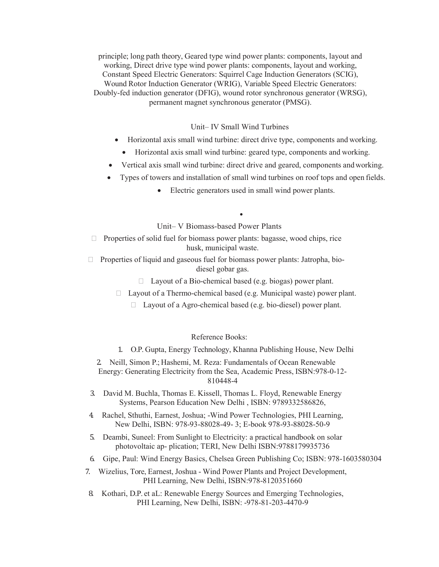principle; long path theory, Geared type wind power plants: components, layout and working, Direct drive type wind power plants: components, layout and working, Constant Speed Electric Generators: Squirrel Cage Induction Generators (SCIG), Wound Rotor Induction Generator (WRIG), Variable Speed Electric Generators: Doubly-fed induction generator (DFIG), wound rotor synchronous generator (WRSG), permanent magnet synchronous generator (PMSG).

#### Unit– IV Small Wind Turbines

- Horizontal axis small wind turbine: direct drive type, components and working.
	- Horizontal axis small wind turbine: geared type, components and working.
- Vertical axis small wind turbine: direct drive and geared, components and working.
- Types of towers and installation of small wind turbines on roof tops and open fields.
	- Electric generators used in small wind power plants.

•

## Unit– V Biomass-based Power Plants

 $\Box$  Properties of solid fuel for biomass power plants: bagasse, wood chips, rice husk, municipal waste.

- $\Box$  Properties of liquid and gaseous fuel for biomass power plants: Jatropha, biodiesel gobar gas.
	- $\Box$  Layout of a Bio-chemical based (e.g. biogas) power plant.
	- $\Box$  Layout of a Thermo-chemical based (e.g. Municipal waste) power plant.
		- $\Box$  Layout of a Agro-chemical based (e.g. bio-diesel) power plant.

#### Reference Books:

1. O.P. Gupta, Energy Technology, Khanna Publishing House, New Delhi

2. Neill, Simon P.; Hashemi, M. Reza: Fundamentals of Ocean Renewable Energy: Generating Electricity from the Sea, Academic Press, ISBN:978-0-12- 810448-4

- 3. David M. Buchla, Thomas E. Kissell, Thomas L. Floyd, Renewable Energy Systems, Pearson Education New Delhi , ISBN: 9789332586826,
- 4. Rachel, Sthuthi, Earnest, Joshua; -Wind Power Technologies, PHI Learning, New Delhi, ISBN: 978-93-88028-49- 3; E-book 978-93-88028-50-9
- 5. Deambi, Suneel: From Sunlight to Electricity: a practical handbook on solar photovoltaic ap- plication; TERI, New Delhi ISBN:9788179935736
- 6. Gipe, Paul: Wind Energy Basics, Chelsea Green Publishing Co; ISBN: 978-1603580304
- 7. Wizelius, Tore, Earnest, Joshua Wind Power Plants and Project Development, PHI Learning, New Delhi, ISBN:978-8120351660
- 8. Kothari, D.P. et aL: Renewable Energy Sources and Emerging Technologies, PHI Learning, New Delhi, ISBN: -978-81-203-4470-9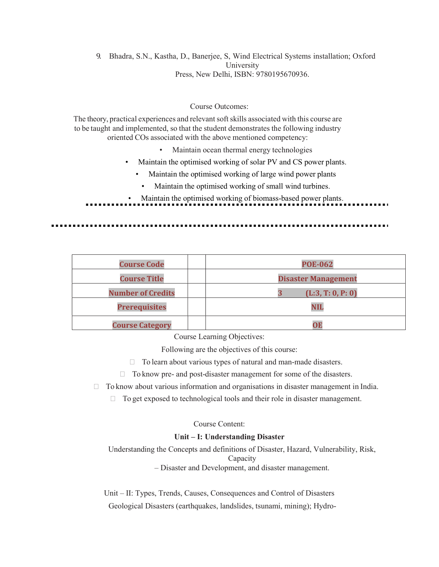# 9. Bhadra, S.N., Kastha, D., Banerjee, S, Wind Electrical Systems installation; Oxford University Press, New Delhi, ISBN: 9780195670936.

## Course Outcomes:

The theory, practical experiences and relevant soft skills associated with this course are to be taught and implemented, so that the student demonstrates the following industry oriented COs associated with the above mentioned competency:

- Maintain ocean thermal energy technologies
- Maintain the optimised working of solar PV and CS power plants.
	- Maintain the optimised working of large wind power plants
	- Maintain the optimised working of small wind turbines.

• Maintain the optimised working of biomass-based power plants.

| <b>Course Code</b>       | <b>POE-062</b>             |
|--------------------------|----------------------------|
| <b>Course Title</b>      | <b>Disaster Management</b> |
| <b>Number of Credits</b> | (L:3, T: 0, P: 0)          |
| <b>Prerequisites</b>     | <b>NIL</b>                 |
| <b>Course Category</b>   | OF                         |

Course Learning Objectives:

Following are the objectives of this course:

To learn about various types of natural and man-made disasters.

□ To know pre- and post-disaster management for some of the disasters.

To know about various information and organisations in disaster management in India.

 $\Box$  To get exposed to technological tools and their role in disaster management.

## Course Content:

## Unit – I: Understanding Disaster

Understanding the Concepts and definitions of Disaster, Hazard, Vulnerability, Risk, Capacity

– Disaster and Development, and disaster management.

Unit – II: Types, Trends, Causes, Consequences and Control of Disasters Geological Disasters (earthquakes, landslides, tsunami, mining); Hydro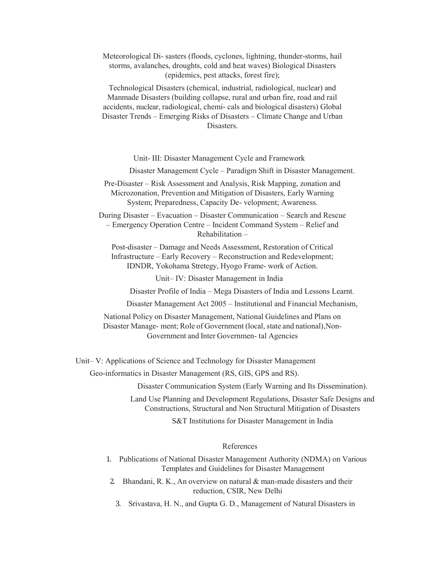Meteorological Di- sasters (floods, cyclones, lightning, thunder-storms, hail storms, avalanches, droughts, cold and heat waves) Biological Disasters (epidemics, pest attacks, forest fire);

Technological Disasters (chemical, industrial, radiological, nuclear) and Manmade Disasters (building collapse, rural and urban fire, road and rail accidents, nuclear, radiological, chemi- cals and biological disasters) Global Disaster Trends – Emerging Risks of Disasters – Climate Change and Urban Disasters.

Unit- III: Disaster Management Cycle and Framework

Disaster Management Cycle – Paradigm Shift in Disaster Management.

Pre-Disaster – Risk Assessment and Analysis, Risk Mapping, zonation and Microzonation, Prevention and Mitigation of Disasters, Early Warning System; Preparedness, Capacity De- velopment; Awareness.

During Disaster – Evacuation – Disaster Communication – Search and Rescue – Emergency Operation Centre – Incident Command System – Relief and Rehabilitation –

Post-disaster – Damage and Needs Assessment, Restoration of Critical Infrastructure – Early Recovery – Reconstruction and Redevelopment; IDNDR, Yokohama Stretegy, Hyogo Frame- work of Action.

Unit– IV: Disaster Management in India

Disaster Profile of India – Mega Disasters of India and Lessons Learnt.

Disaster Management Act 2005 – Institutional and Financial Mechanism,

National Policy on Disaster Management, National Guidelines and Plans on Disaster Manage- ment; Role of Government (local, state and national),Non-Government and Inter Governmen- tal Agencies

Unit– V: Applications of Science and Technology for Disaster Management

Geo-informatics in Disaster Management (RS, GIS, GPS and RS).

Disaster Communication System (Early Warning and Its Dissemination).

Land Use Planning and Development Regulations, Disaster Safe Designs and Constructions, Structural and Non Structural Mitigation of Disasters

S&T Institutions for Disaster Management in India

#### References

- 1. Publications of National Disaster Management Authority (NDMA) on Various Templates and Guidelines for Disaster Management
- 2. Bhandani, R. K., An overview on natural & man-made disasters and their reduction, CSIR, New Delhi
	- 3. Srivastava, H. N., and Gupta G. D., Management of Natural Disasters in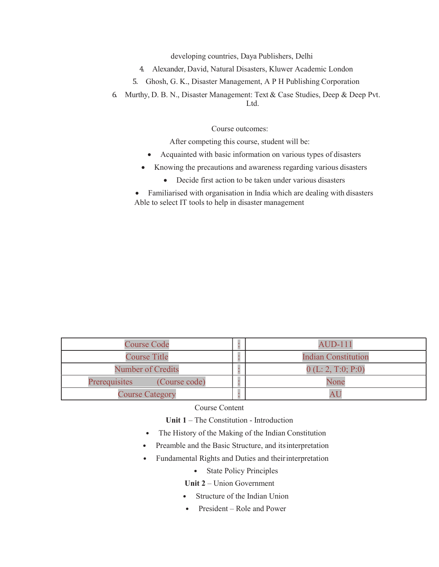developing countries, Daya Publishers, Delhi

- 4. Alexander, David, Natural Disasters, Kluwer Academic London
- 5. Ghosh, G. K., Disaster Management, A P H Publishing Corporation
- 6. Murthy, D. B. N., Disaster Management: Text & Case Studies, Deep & Deep Pvt. Ltd.

Course outcomes:

After competing this course, student will be:

- Acquainted with basic information on various types of disasters
- Knowing the precautions and awareness regarding various disasters
	- Decide first action to be taken under various disasters
- Familiarised with organisation in India which are dealing with disasters Able to select IT tools to help in disaster management

| <b>Course Code</b>                    | AUD-111             |
|---------------------------------------|---------------------|
| <b>Course Title</b>                   | Indian Constitution |
| Number of Credits                     | 0(L: 2, T:0; P:0)   |
| (Course code)<br><b>Prerequisites</b> | None                |
| <b>Course Category</b>                |                     |

Course Content

Unit 1 – The Constitution - Introduction

- The History of the Making of the Indian Constitution
- Preamble and the Basic Structure, and its interpretation
- Fundamental Rights and Duties and their interpretation
	- State Policy Principles

Unit 2 – Union Government

- Structure of the Indian Union
- President Role and Power